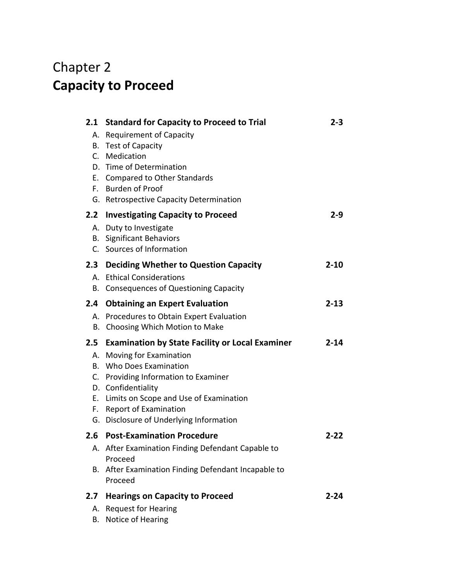## Chapter 2 **Capacity to Proceed**

| 2.1       | <b>Standard for Capacity to Proceed to Trial</b>                                         | $2 - 3$  |
|-----------|------------------------------------------------------------------------------------------|----------|
| А.<br>В.  | <b>Requirement of Capacity</b><br><b>Test of Capacity</b><br>C. Medication               |          |
| E.,<br>F. | D. Time of Determination<br><b>Compared to Other Standards</b><br><b>Burden of Proof</b> |          |
| G.        | <b>Retrospective Capacity Determination</b>                                              |          |
| 2.2       | <b>Investigating Capacity to Proceed</b>                                                 | $2 - 9$  |
|           | A. Duty to Investigate<br><b>B.</b> Significant Behaviors                                |          |
|           | C. Sources of Information                                                                |          |
| 2.3       | <b>Deciding Whether to Question Capacity</b>                                             | $2 - 10$ |
| А.        | <b>Ethical Considerations</b>                                                            |          |
| В.        | <b>Consequences of Questioning Capacity</b>                                              |          |
| 2.4       | <b>Obtaining an Expert Evaluation</b>                                                    | $2 - 13$ |
| А.        | Procedures to Obtain Expert Evaluation                                                   |          |
| В.        | Choosing Which Motion to Make                                                            |          |
| 2.5       | <b>Examination by State Facility or Local Examiner</b>                                   | $2 - 14$ |
| Α.        | Moving for Examination                                                                   |          |
| В.        | Who Does Examination                                                                     |          |
|           | C. Providing Information to Examiner                                                     |          |
| Е.        | D. Confidentiality<br>Limits on Scope and Use of Examination                             |          |
| F.        | <b>Report of Examination</b>                                                             |          |
| G.        | Disclosure of Underlying Information                                                     |          |
| 2.6       | <b>Post-Examination Procedure</b>                                                        | $2 - 22$ |
|           | A. After Examination Finding Defendant Capable to<br>Proceed                             |          |
| В.        | After Examination Finding Defendant Incapable to<br>Proceed                              |          |
| 2.7       | <b>Hearings on Capacity to Proceed</b>                                                   | $2 - 24$ |
| А.        | <b>Request for Hearing</b><br>Notice of Hearing                                          |          |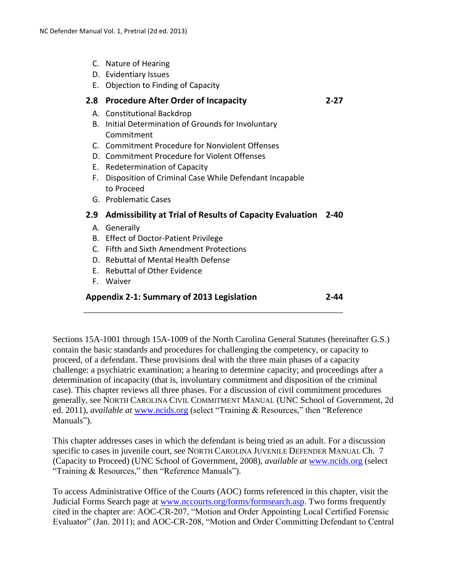- C. Nature of Hearing
- D. Evidentiary Issues
- E. Objection to Finding of Capacity

## **2.8 Procedure After Order of Incapacity 2-27**

- A. Constitutional Backdrop
- B. Initial Determination of Grounds for Involuntary Commitment
- C. Commitment Procedure for Nonviolent Offenses
- D. Commitment Procedure for Violent Offenses
- E. Redetermination of Capacity
- F. Disposition of Criminal Case While Defendant Incapable to Proceed
- G. Problematic Cases

## **2.9 Admissibility at Trial of Results of Capacity Evaluation 2-40**

- A. Generally
- B. Effect of Doctor-Patient Privilege
- C. Fifth and Sixth Amendment Protections
- D. Rebuttal of Mental Health Defense
- E. Rebuttal of Other Evidence
- F. Waiver

## **Appendix 2-1: Summary of 2013 Legislation 2-44** \_\_\_\_\_\_\_\_\_\_\_\_\_\_\_\_\_\_\_\_\_\_\_\_\_\_\_\_\_\_\_\_\_\_\_\_\_\_\_\_\_\_\_\_\_\_\_\_\_\_\_\_\_\_\_\_\_\_\_

Sections 15A-1001 through 15A-1009 of the North Carolina General Statutes (hereinafter G.S.) contain the basic standards and procedures for challenging the competency, or capacity to proceed, of a defendant. These provisions deal with the three main phases of a capacity challenge: a psychiatric examination; a hearing to determine capacity; and proceedings after a determination of incapacity (that is, involuntary commitment and disposition of the criminal case). This chapter reviews all three phases. For a discussion of civil commitment procedures generally, see NORTH CAROLINA CIVIL COMMITMENT MANUAL (UNC School of Government, 2d ed. 2011), *available at* **[www.ncids.org](http://www.ncids.org/)** (select "Training & Resources," then "Reference Manuals").

This chapter addresses cases in which the defendant is being tried as an adult. For a discussion specific to cases in juvenile court, see NORTH CAROLINA JUVENILE DEFENDER MANUAL Ch. 7 (Capacity to Proceed) (UNC School of Government, 2008), *available at* [www.ncids.org](http://www.ncids.org/) (select "Training & Resources," then "Reference Manuals").

To access Administrative Office of the Courts (AOC) forms referenced in this chapter, visit the Judicial Forms Search page at [www.nccourts.org/forms/formsearch.asp.](http://www.nccourts.org/forms/formsearch.asp) Two forms frequently cited in the chapter are: AOC-CR-207, "Motion and Order Appointing Local Certified Forensic Evaluator" (Jan. 2011); and AOC-CR-208, "Motion and Order Committing Defendant to Central